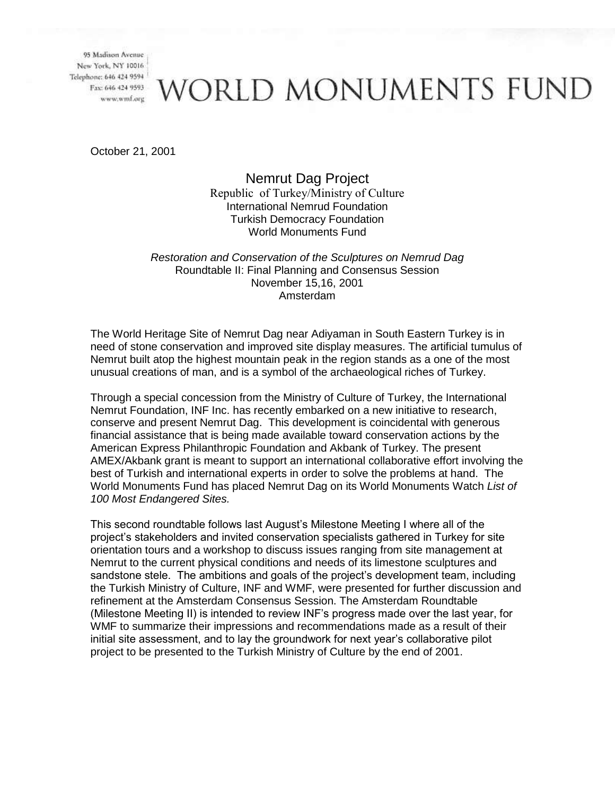# **VORLD MONUMENTS FUND**

October 21, 2001

## Nemrut Dag Project Republic of Turkey/Ministry of Culture

International Nemrud Foundation Turkish Democracy Foundation World Monuments Fund

*Restoration and Conservation of the Sculptures on Nemrud Dag* Roundtable II: Final Planning and Consensus Session November 15,16, 2001 Amsterdam

The World Heritage Site of Nemrut Dag near Adiyaman in South Eastern Turkey is in need of stone conservation and improved site display measures. The artificial tumulus of Nemrut built atop the highest mountain peak in the region stands as a one of the most unusual creations of man, and is a symbol of the archaeological riches of Turkey.

Through a special concession from the Ministry of Culture of Turkey, the International Nemrut Foundation, INF Inc. has recently embarked on a new initiative to research, conserve and present Nemrut Dag. This development is coincidental with generous financial assistance that is being made available toward conservation actions by the American Express Philanthropic Foundation and Akbank of Turkey. The present AMEX/Akbank grant is meant to support an international collaborative effort involving the best of Turkish and international experts in order to solve the problems at hand. The World Monuments Fund has placed Nemrut Dag on its World Monuments Watch *List of 100 Most Endangered Sites.* 

This second roundtable follows last August's Milestone Meeting I where all of the project's stakeholders and invited conservation specialists gathered in Turkey for site orientation tours and a workshop to discuss issues ranging from site management at Nemrut to the current physical conditions and needs of its limestone sculptures and sandstone stele. The ambitions and goals of the project's development team, including the Turkish Ministry of Culture, INF and WMF, were presented for further discussion and refinement at the Amsterdam Consensus Session. The Amsterdam Roundtable (Milestone Meeting II) is intended to review INF's progress made over the last year, for WMF to summarize their impressions and recommendations made as a result of their initial site assessment, and to lay the groundwork for next year's collaborative pilot project to be presented to the Turkish Ministry of Culture by the end of 2001.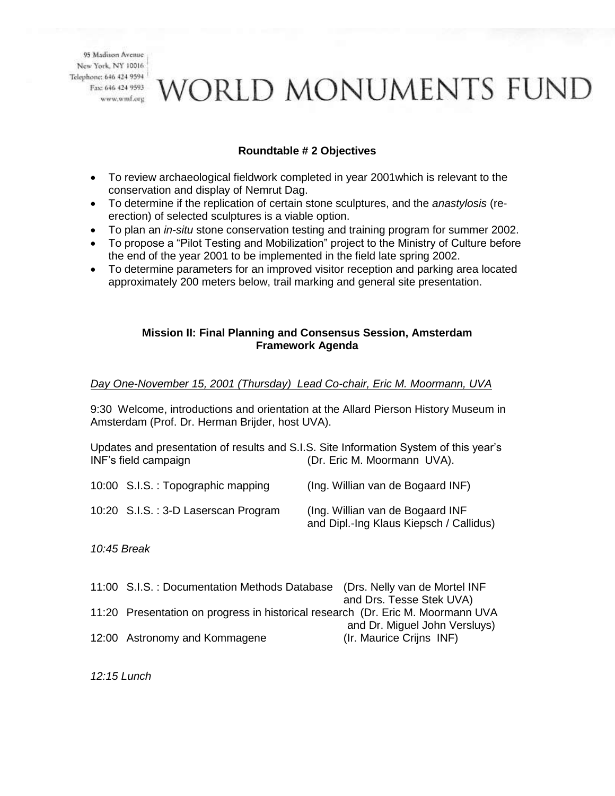# VORLD MONUMENTS FUND

### **Roundtable # 2 Objectives**

- To review archaeological fieldwork completed in year 2001which is relevant to the conservation and display of Nemrut Dag.
- To determine if the replication of certain stone sculptures, and the *anastylosis* (reerection) of selected sculptures is a viable option.
- To plan an *in-situ* stone conservation testing and training program for summer 2002.
- To propose a "Pilot Testing and Mobilization" project to the Ministry of Culture before the end of the year 2001 to be implemented in the field late spring 2002.
- To determine parameters for an improved visitor reception and parking area located approximately 200 meters below, trail marking and general site presentation.

#### **Mission II: Final Planning and Consensus Session, Amsterdam Framework Agenda**

### *Day One-November 15, 2001 (Thursday) Lead Co-chair, Eric M. Moormann, UVA*

9:30 Welcome, introductions and orientation at the Allard Pierson History Museum in Amsterdam (Prof. Dr. Herman Brijder, host UVA).

Updates and presentation of results and S.I.S. Site Information System of this year's INF's field campaign (Dr. Eric M. Moormann UVA).

| 10:00 S.I.S.: Topographic mapping   | (Ing. Willian van de Bogaard INF)                                            |
|-------------------------------------|------------------------------------------------------------------------------|
| 10:20 S.I.S.: 3-D Laserscan Program | (Ing. Willian van de Bogaard INF)<br>and Dipl.-Ing Klaus Kiepsch / Callidus) |

*10:45 Break* 

| 11:00 S.I.S. : Documentation Methods Database (Drs. Nelly van de Mortel INF     |                               |
|---------------------------------------------------------------------------------|-------------------------------|
|                                                                                 | and Drs. Tesse Stek UVA)      |
| 11:20 Presentation on progress in historical research (Dr. Eric M. Moormann UVA |                               |
|                                                                                 | and Dr. Miguel John Versluys) |
| 12:00 Astronomy and Kommagene                                                   | (Ir. Maurice Crijns INF)      |

*12:15 Lunch*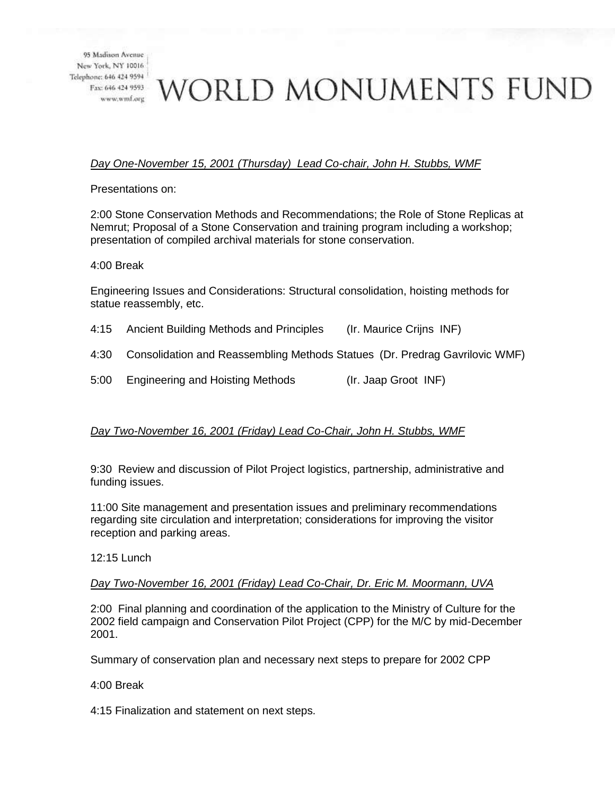# vorld monuments fund

### *Day One-November 15, 2001 (Thursday) Lead Co-chair, John H. Stubbs, WMF*

Presentations on:

2:00 Stone Conservation Methods and Recommendations; the Role of Stone Replicas at Nemrut; Proposal of a Stone Conservation and training program including a workshop; presentation of compiled archival materials for stone conservation.

4:00 Break

Engineering Issues and Considerations: Structural consolidation, hoisting methods for statue reassembly, etc.

- 4:15 Ancient Building Methods and Principles (Ir. Maurice Crijns INF)
- 4:30 Consolidation and Reassembling Methods Statues (Dr. Predrag Gavrilovic WMF)
- 5:00 Engineering and Hoisting Methods (Ir. Jaap Groot INF)

#### *Day Two-November 16, 2001 (Friday) Lead Co-Chair, John H. Stubbs, WMF*

9:30 Review and discussion of Pilot Project logistics, partnership, administrative and funding issues.

11:00 Site management and presentation issues and preliminary recommendations regarding site circulation and interpretation; considerations for improving the visitor reception and parking areas.

12:15 Lunch

#### *Day Two-November 16, 2001 (Friday) Lead Co-Chair, Dr. Eric M. Moormann, UVA*

2:00 Final planning and coordination of the application to the Ministry of Culture for the 2002 field campaign and Conservation Pilot Project (CPP) for the M/C by mid-December 2001.

Summary of conservation plan and necessary next steps to prepare for 2002 CPP

4:00 Break

4:15 Finalization and statement on next steps.